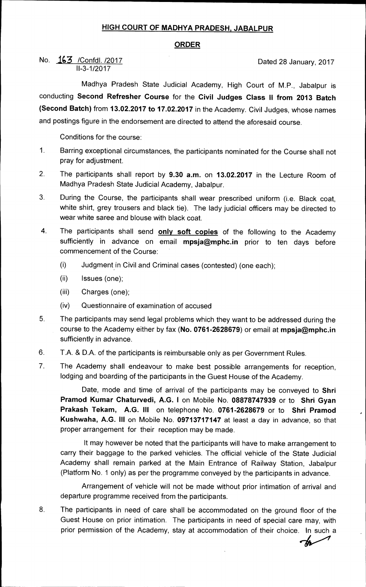## **HIGH COURT OF MADHYA PRADESH, JABALPUR**

## **ORDER**

No.  $\underline{163}$  /Confdl. /2017 11-3-1/2017

Madhya Pradesh State Judicial Academy, High Court of M.P., Jabalpur is conducting **Second Refresher Course** for the **Civil Judges Class ll from 2013 Batch (Second Batch)** from **13.02.2017 to 17.02.2017** in the Academy. Civil Judges, whose names and postings figure in the endorsement are directed to attend the aforesaid course.

Conditions for the course:

- 1. Barring exceptional circumstances, the participants nominated for the Course shall not pray for adjustment.
- 2. The participants shall report by **9.30 a.m.** on **13.02.2017** in the Lecture Room of Madhya Pradesh State Judicial Academy, Jabalpur.
- 3. During the Course, the participants shall wear prescribed uniform (i.e. Black coat, white shirt, grey trousers and black tie). The lady judicial officers may be directed to wear white saree and blouse with black coat.
- 4. The participants shall send **only soft copies** of the following to the Academy sufficiently in advance on email **mpsja@mphc.in** prior to ten days before commencement of the Course:
	- (i) Judgment in Civil and Criminal cases (contested) (one each);
	- (ii) Issues (one);
	- (iii) Charges (one);
	- (iv) Questionnaire of examination of accused
- 5. The participants may send legal problems which they want to be addressed during the course to the Academy either by fax **(No. 0761-2628679)** or email at **mpsja@mphc.in**  sufficiently in advance.
- 6. T.A. & D.A. of the participants is reimbursable only as per Government Rules.
- 7. The Academy shall endeavour to make best possible arrangements for reception, lodging and boarding of the participants in the Guest House of the Academy.

Date, mode and time of arrival of the participants may be conveyed to **Shri Pramod Kumar Chaturvedi, A.G. I** on Mobile No. **08878747939** or to **Shri Gyan Prakash Tekam, A.G. III** on telephone No. **0761-2628679** or to **Shri Pramod Kushwaha, A.G. III** on Mobile No. **09713717147** at least a day in advance, so that proper arrangement for their reception may be made.

It may however be noted that the participants will have to make arrangement to carry their baggage to the parked vehicles. The official vehicle of the State Judicial Academy shall remain parked at the Main Entrance of Railway Station, Jabalpur (Platform No. 1 only) as per the programme conveyed by the participants in advance.

Arrangement of vehicle will not be made without prior intimation of arrival and departure programme received from the participants.

8. The participants in need of care shall be accommodated on the ground floor of the Guest House on prior intimation. The participants in need of special care may, with prior permission of the Academy, stay at accommodation of their choice. In such a

m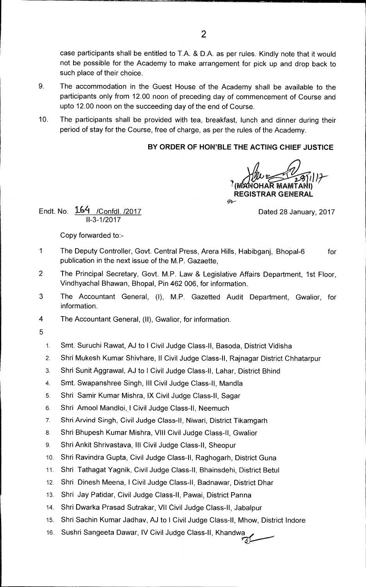case participants shall be entitled to T.A. & D.A. as per rules. Kindly note that it would not be possible for the Academy to make arrangement for pick up and drop back to such place of their choice.

- 9. The accommodation in the Guest House of the Academy shall be available to the participants only from 12.00 noon of preceding day of commencement of Course and upto 12.00 noon on the succeeding day of the end of Course.
- 10. The participants shall be provided with tea, breakfast, lunch and dinner during their period of stay for the Course, free of charge, as per the rules of the Academy.

## **BY ORDER OF HON'BLE THE ACTING CHIEF JUSTICE**

 $\widehat{B}$ <u>ا ا المجمع</u> **I)**  7( **OHAR MAMTA REGISTRAR GENERAL**   $\omega$ 

Endt. No.  $\underline{164}$  /Confdl. /2017 **Dated 28 January, 2017** 11-3-1/2017

Copy forwarded to:-

- 1 The Deputy Controller, Govt. Central Press, Arera Hills, Habibganj, Bhopal-6 for publication in the next issue of the M.P. Gazaette,
- 2 The Principal Secretary, Govt. M.P. Law & Legislative Affairs Department, 1st Floor, Vindhyachal Bhawan, Bhopal, Pin 462 006, for information.
- 3 The Accountant General, (I), M.P. Gazetted Audit Department, Gwalior, for information.
- 4 The Accountant General, (II), Gwalior, for information.
- 5
- 1. Smt. Suruchi Rawat, AJ to 1 Civil Judge Class-II, Basoda, District Vidisha
- 2. Shri Mukesh Kumar Shivhare, II Civil Judge Class-II, Rajnagar District Chhatarpur
- 3. Shri Sunit Aggrawal, AJ to I Civil Judge Class-II, Lahar, District Bhind
- 4. Smt. Swapanshree Singh, Ill Civil Judge Class-II, Mandla
- 5. Shri Samir Kumar Mishra, IX Civil Judge Class-II, Sagar
- 6. Shri Amool Mandloi, I Civil Judge Class-II, Neemuch
- 7. Shri Arvind Singh, Civil Judge Class-II, Niwari, District Tikamgarh
- 8. Shri Bhupesh Kumar Mishra, VIII Civil Judge Class-II, Gwalior
- 9. Shri Ankit Shrivastava, III Civil Judge Class-II, Sheopur
- 10. Shri Ravindra Gupta, Civil Judge Class-II, Raghogarh, District Guna
- 11. Shri Tathagat Yagnik, Civil Judge Class-II, Bhainsdehi, District Betul
- 12. Shri Dinesh Meena, I Civil Judge Class-II, Badnawar, District Dhar
- 13. Shri Jay Patidar, Civil Judge Class-II, Pawai, District Panna
- 14. Shri Dwarka Prasad Sutrakar, VII Civil Judge Class-II, Jabalpur
- 15. Shri Sachin Kumar Jadhav, AJ to I Civil Judge Class-II, Mhow, District Indore
- 16. Sushri Sangeeta Dawar, IV Civil Judge Class-II, Khandwa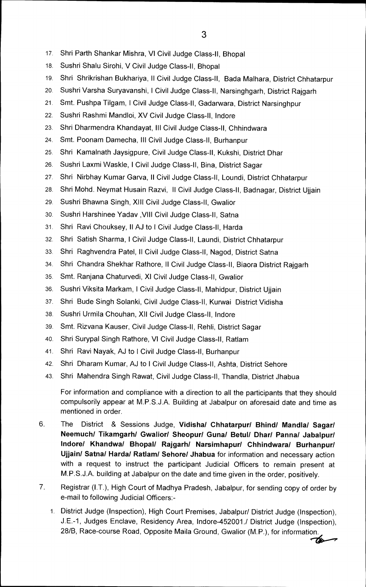- 17. Shri Parth Shankar Mishra, VI Civil Judge Class-II, Bhopal
- 18. Sushri Shalu Sirohi, V Civil Judge Class-II, Bhopal
- 19. Shri Shrikrishan Bukhariya, ll Civil Judge Class-II, Bada Malhara, District Chhatarpur
- 20. Sushri Varsha Suryavanshi, I Civil Judge Class-II, Narsinghgarh, District Rajgarh
- 21. Smt. Pushpa Tilgam, I Civil Judge Class-II, Gadarwara, District Narsinghpur
- 22. Sushri Rashmi Mandloi, XV Civil Judge Class-II, Indore
- 23. Shri Dharmendra Khandayat, Ill Civil Judge Class-II, Chhindwara
- 24. Smt. Poonam Damecha, Ill Civil Judge Class-II, Burhanpur
- 25. Shri Kamalnath Jaysigpure, Civil Judge Class-II, Kukshi, District Dhar
- 26. Sushri Laxmi Waskle, I Civil Judge Class-II, Bina, District Sagar
- 27. Shri Nirbhay Kumar Garva, II Civil Judge Class-II, Loundi, District Chhatarpur
- 28. Shri Mohd. Neymat Husain Razvi, II Civil Judge Class-II, Badnagar, District Ujjain
- 29. Sushri Bhawna Singh, XIII Civil Judge Class-II, Gwalior
- 30. Sushri Harshinee Yadav ,VIII Civil Judge Class-II, Satna
- 31. Shri Ravi Chouksey, II AJ to I Civil Judge Class-II, Harda
- 32. Shri Satish Sharma, I Civil Judge Class-II, Laundi, District Chhatarpur
- 33. Shri Raghvendra Patel, ll Civil Judge Class-II, Nagod, District Satna
- 34. Shri Chandra Shekhar Rathore, II Civil Judge Class-II, Biaora District Rajgarh
- 35. Smt. Ranjana Chaturvedi, XI Civil Judge Class-II, Gwalior
- 36. Sushri Viksita Markam, I Civil Judge Class-II, Mahidpur, District Ujjain
- 37. Shri Bude Singh Solanki, Civil Judge Class-II, Kurwai District Vidisha
- 38. Sushri Urmila Chouhan, XII Civil Judge Class-II, Indore
- 39. Smt. Rizvana Kauser, Civil Judge Class-II, Rehli, District Sagar
- 40. Shri Surypal Singh Rathore, VI Civil Judge Class-II, Ratlam
- 41. Shri Ravi Nayak, AJ to I Civil Judge Class-II, Burhanpur
- 42. Shri Dharam Kumar, AJ to I Civil Judge Class-II, Ashta, District Sehore
- 43. Shri Mahendra Singh Rawat, Civil Judge Class-II, Thandla, District Jhabua

For information and compliance with a direction to all the participants that they should compulsorily appear at M.P.S.J.A. Building at Jabalpur on aforesaid date and time as mentioned in order.

- 6. The District & Sessions Judge, **Vidisha/ Chhatarpur/ Bhind/ Mandla/ Sagar/ Neemuch/ Tikamgarh/ Gwalior/ Sheopur/ Guna/ Betul/ Dhar/ Panna/ Jabalpur/ lndore/ Khandwa/ Bhopal/ Rajgarh/ Narsimhapur/ Chhindwara/ Burhanpur/ Ujjain/ Satna/ Harda/ Ratlam/ Sehore/ Jhabua** for information and necessary action with a request to instruct the participant Judicial Officers to remain present at M.P.S.J.A. building at Jabalpur on the date and time given in the order, positively.
- 7. Registrar (I.T.), High Court of Madhya Pradesh, Jabalpur, for sending copy of order by e-mail to following Judicial Officers:-
	- 1. District Judge (Inspection), High Court Premises, Jabalpur/ District Judge (Inspection), J.E.-1, Judges Enclave, Residency Area, Indore-452001.1 District Judge (Inspection), 28/B, Race-course Road, Opposite Maila Ground, Gwalior (M.P.), for information.

74